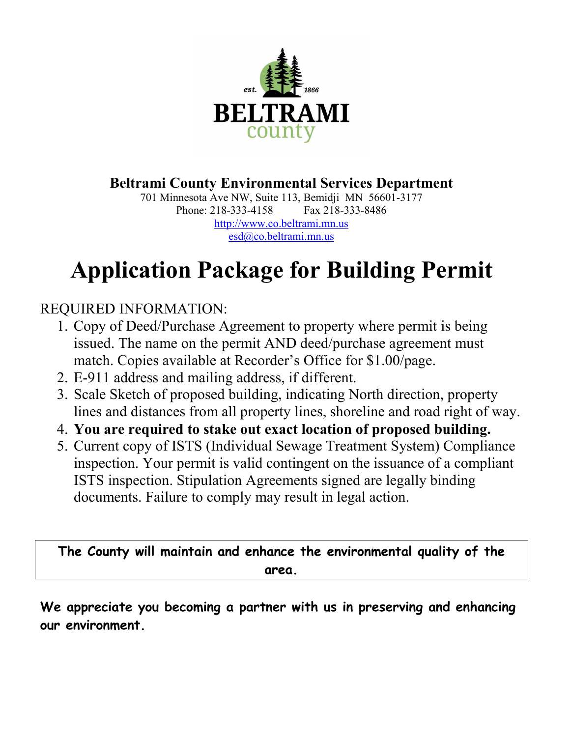

**Beltrami County Environmental Services Department**

701 Minnesota Ave NW, Suite 113, Bemidji MN 56601-3177 Phone: 218-333-4158 Fax 218-333-8486 [http://www.co.beltrami.mn.us](http://beltramicounty.govoffice.com/) [esd@co.beltrami.mn.us](mailto:esd@co.beltrami.mn.us)

## **Application Package for Building Permit**

## REQUIRED INFORMATION:

- 1. Copy of Deed/Purchase Agreement to property where permit is being issued. The name on the permit AND deed/purchase agreement must match. Copies available at Recorder's Office for \$1.00/page.
- 2. E-911 address and mailing address, if different.
- 3. Scale Sketch of proposed building, indicating North direction, property lines and distances from all property lines, shoreline and road right of way.
- 4. **You are required to stake out exact location of proposed building.**
- 5. Current copy of ISTS (Individual Sewage Treatment System) Compliance inspection. Your permit is valid contingent on the issuance of a compliant ISTS inspection. Stipulation Agreements signed are legally binding documents. Failure to comply may result in legal action.

**The County will maintain and enhance the environmental quality of the area.**

**We appreciate you becoming a partner with us in preserving and enhancing our environment.**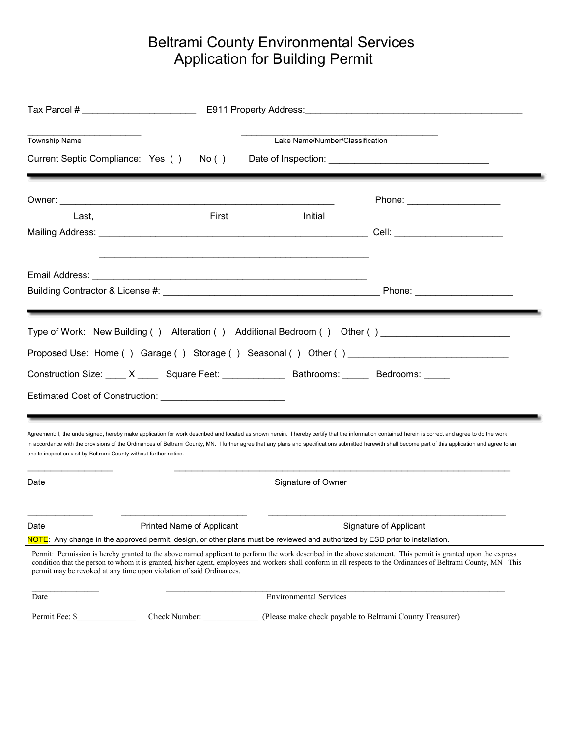## Beltrami County Environmental Services Application for Building Permit

| <b>Township Name</b><br>Current Septic Compliance: Yes ()                                                                                                                                                                                                                                                                                                                                                    | No()                                                                                                                                                                                               | Lake Name/Number/Classification                                                                                                                                                                                                                                                                                                                                                                             |
|--------------------------------------------------------------------------------------------------------------------------------------------------------------------------------------------------------------------------------------------------------------------------------------------------------------------------------------------------------------------------------------------------------------|----------------------------------------------------------------------------------------------------------------------------------------------------------------------------------------------------|-------------------------------------------------------------------------------------------------------------------------------------------------------------------------------------------------------------------------------------------------------------------------------------------------------------------------------------------------------------------------------------------------------------|
|                                                                                                                                                                                                                                                                                                                                                                                                              |                                                                                                                                                                                                    | Phone: _____________________                                                                                                                                                                                                                                                                                                                                                                                |
| Last,                                                                                                                                                                                                                                                                                                                                                                                                        | First<br>Initial                                                                                                                                                                                   |                                                                                                                                                                                                                                                                                                                                                                                                             |
|                                                                                                                                                                                                                                                                                                                                                                                                              |                                                                                                                                                                                                    |                                                                                                                                                                                                                                                                                                                                                                                                             |
| Type of Work: New Building() Alteration() Additional Bedroom() Other()__________<br>Proposed Use: Home ( ) Garage ( ) Storage ( ) Seasonal ( ) Other ( )<br>Construction Size: X ____ Square Feet: ___________ Bathrooms: _____ Bedrooms: ___<br>Estimated Cost of Construction: National Assembly Construction and Assembly Construction and Assembly                                                       |                                                                                                                                                                                                    |                                                                                                                                                                                                                                                                                                                                                                                                             |
| onsite inspection visit by Beltrami County without further notice.                                                                                                                                                                                                                                                                                                                                           |                                                                                                                                                                                                    | Agreement: I, the undersigned, hereby make application for work described and located as shown herein. I hereby certify that the information contained herein is correct and agree to do the work<br>in accordance with the provisions of the Ordinances of Beltrami County, MN. I further agree that any plans and specifications submitted herewith shall become part of this application and agree to an |
| Date                                                                                                                                                                                                                                                                                                                                                                                                         | Signature of Owner                                                                                                                                                                                 |                                                                                                                                                                                                                                                                                                                                                                                                             |
| Date                                                                                                                                                                                                                                                                                                                                                                                                         | Printed Name of Applicant<br>Signature of Applicant<br><mark>NOTE</mark> : Any change in the approved permit, design, or other plans must be reviewed and authorized by ESD prior to installation. |                                                                                                                                                                                                                                                                                                                                                                                                             |
| Permit: Permission is hereby granted to the above named applicant to perform the work described in the above statement. This permit is granted upon the express<br>condition that the person to whom it is granted, his/her agent, employees and workers shall conform in all respects to the Ordinances of Beltrami County, MN This<br>permit may be revoked at any time upon violation of said Ordinances. |                                                                                                                                                                                                    |                                                                                                                                                                                                                                                                                                                                                                                                             |
| Date                                                                                                                                                                                                                                                                                                                                                                                                         | <b>Environmental Services</b>                                                                                                                                                                      |                                                                                                                                                                                                                                                                                                                                                                                                             |
| Permit Fee: \$<br>Check Number:<br>(Please make check payable to Beltrami County Treasurer)                                                                                                                                                                                                                                                                                                                  |                                                                                                                                                                                                    |                                                                                                                                                                                                                                                                                                                                                                                                             |